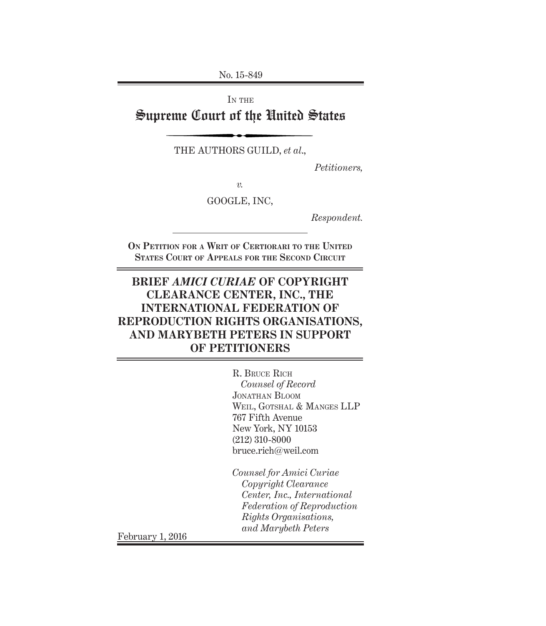No. 15-849

IN THE

# Supreme Court of the United States

THE AUTHORS GUILD, *et al*.,

*Petitioners,*

*v.*

GOOGLE, INC,

*Respondent.*

**On Petition for a Writ of Certiorari to the United States Court of Appeals for the Second Circuit**

# **BRIEF** *AMICI CURIAE* **OF COPYRIGHT CLEARANCE CENTER, INC., THE INTERNATIONAL FEDERATION OF REPRODUCTION RIGHTS ORGANISATIONS, AND MARYBETH PETERS IN SUPPORT OF PETITIONERS**

R. Bruce Rich *Counsel of Record* Jonathan Bloom Weil, Gotshal & Manges LLP 767 Fifth Avenue New York, NY 10153 (212) 310-8000 bruce.rich@weil.com

*Counsel for Amici Curiae Copyright Clearance Center, Inc., International Federation of Reproduction Rights Organisations, and Marybeth Peters* February 1, 2016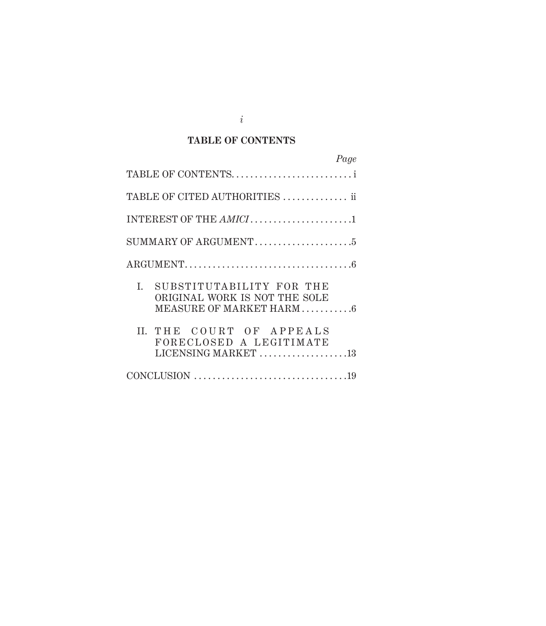### **TABLE OF CONTENTS**

| Page                                                                                                                |
|---------------------------------------------------------------------------------------------------------------------|
| TABLE OF CONTENTS                                                                                                   |
| TABLE OF CITED AUTHORITIES  ii                                                                                      |
|                                                                                                                     |
| $\mathop{\rm SUMMARY}\nolimits$ OF ARGUMENT $\ldots \ldots \ldots \ldots \ldots \ldots 5$                           |
|                                                                                                                     |
| I.<br>SUBSTITUTABILITY FOR THE<br>ORIGINAL WORK IS NOT THE SOLE<br>MEASURE OF MARKET HARM6                          |
| II. THE COURT OF APPEALS<br>FORECLOSED A LEGITIMATE<br>LICENSING MARKET $\ldots \ldots \ldots \ldots \ldots \ldots$ |
|                                                                                                                     |

*i*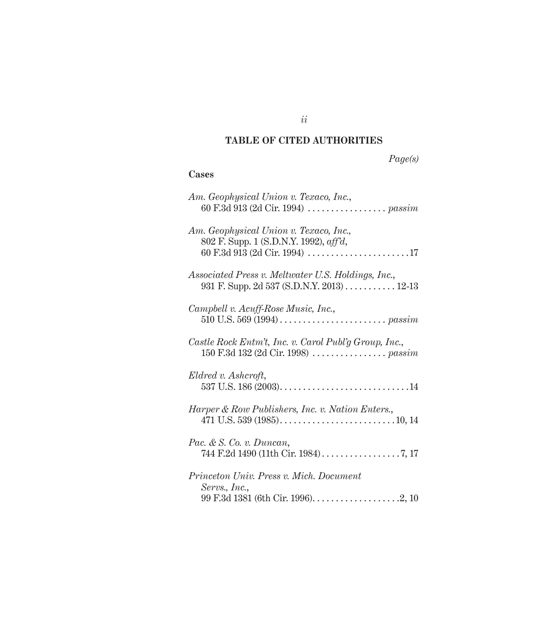# **TABLE OF CITED AUTHORITIES**

# *Page(s)*

### **Cases**

| Am. Geophysical Union v. Texaco, Inc.,                                                                                    |
|---------------------------------------------------------------------------------------------------------------------------|
| Am. Geophysical Union v. Texaco, Inc.,<br>802 F. Supp. 1 (S.D.N.Y. 1992), aff'd,                                          |
| Associated Press v. Meltwater U.S. Holdings, Inc.,<br>931 F. Supp. 2d 537 (S.D.N.Y. 2013) 12-13                           |
| Campbell v. Acuff-Rose Music, Inc.,                                                                                       |
| Castle Rock Entm't, Inc. v. Carol Publ'g Group, Inc.,                                                                     |
| Eldred v. Ashcroft,                                                                                                       |
| Harper & Row Publishers, Inc. v. Nation Enters.,<br>471 U.S. 539 (1985). $\dots$ . $\dots$ . $\dots$ . $\dots$ . $10, 14$ |
| Pac. & S. Co. v. Duncan,                                                                                                  |
| Princeton Univ. Press v. Mich. Document<br>Servs., Inc.,                                                                  |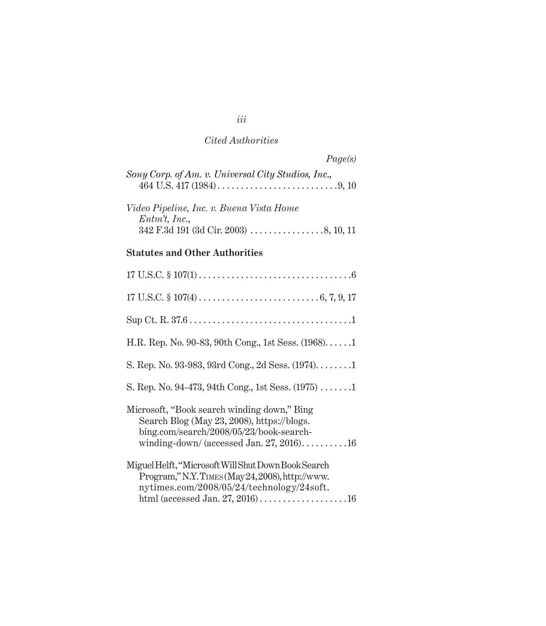# *Cited Authorities*

|                                                    | Page(s) |
|----------------------------------------------------|---------|
| Sony Corp. of Am. v. Universal City Studios, Inc., |         |
| Video Pipeline, Inc. v. Buena Vista Home           |         |
| $Entm't$ , Inc.,                                   |         |
|                                                    |         |

## **Statutes and Other Authorities**

| H.R. Rep. No. 90-83, 90th Cong., 1st Sess. (1968)1                                                                                                                               |
|----------------------------------------------------------------------------------------------------------------------------------------------------------------------------------|
| S. Rep. No. 93-983, 93rd Cong., 2d Sess. (1974)1                                                                                                                                 |
| S. Rep. No. 94-473, 94th Cong., 1st Sess. $(1975)$ 1                                                                                                                             |
| Microsoft, "Book search winding down," Bing<br>Search Blog (May 23, 2008), https://blogs.<br>bing.com/search/2008/05/23/book-search-<br>winding-down/ (accessed Jan. 27, 2016)16 |
| Miguel Helft, "Microsoft Will Shut Down Book Search<br>Program," N.Y. TIMES (May 24, 2008), http://www.<br>nytimes.com/2008/05/24/technology/24soft.                             |

## *iii*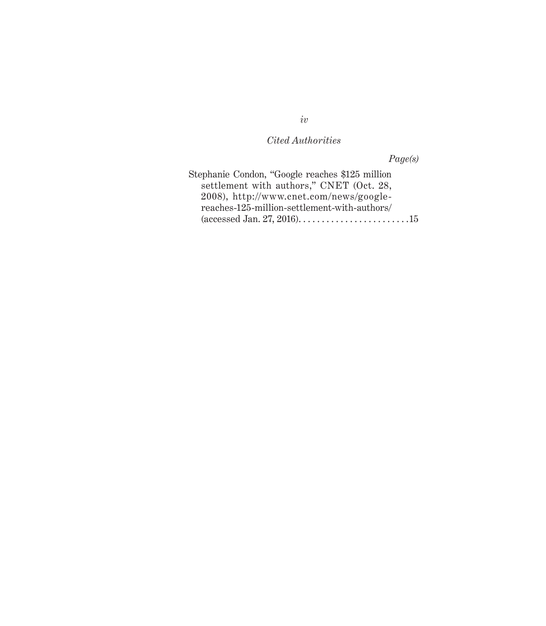## *Cited Authorities*

*Page(s)*

| Stephanie Condon, "Google reaches \$125 million |  |
|-------------------------------------------------|--|
| settlement with authors," CNET (Oct. 28,        |  |
| 2008), http://www.cnet.com/news/google-         |  |
| reaches-125-million-settlement-with-authors/    |  |
|                                                 |  |

*iv*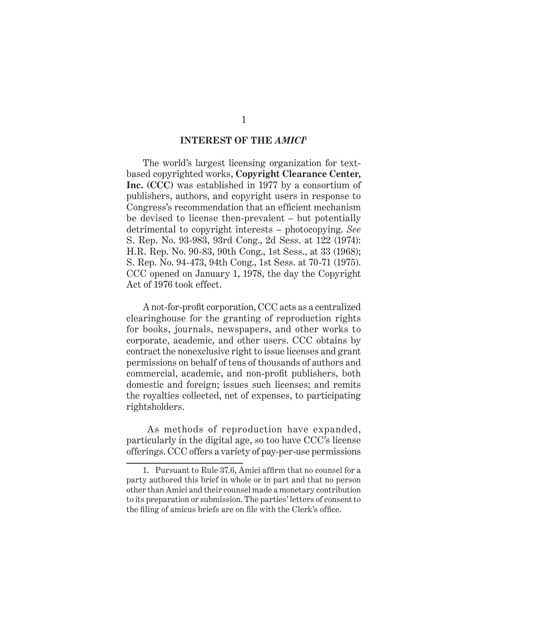#### **INTEREST OF THE** *AMICI***<sup>1</sup>**

The world's largest licensing organization for textbased copyrighted works, **Copyright Clearance Center, Inc. (CCC)** was established in 1977 by a consortium of publishers, authors, and copyright users in response to Congress's recommendation that an efficient mechanism be devised to license then-prevalent – but potentially detrimental to copyright interests – photocopying. *See*  S. Rep. No. 93-983, 93rd Cong., 2d Sess. at 122 (1974): H.R. Rep. No. 90-83, 90th Cong., 1st Sess., at 33 (1968); S. Rep. No. 94-473, 94th Cong., 1st Sess. at 70-71 (1975). CCC opened on January 1, 1978, the day the Copyright Act of 1976 took effect.

A not-for-profit corporation, CCC acts as a centralized clearinghouse for the granting of reproduction rights for books, journals, newspapers, and other works to corporate, academic, and other users. CCC obtains by contract the nonexclusive right to issue licenses and grant permissions on behalf of tens of thousands of authors and commercial, academic, and non-profit publishers, both domestic and foreign; issues such licenses; and remits the royalties collected, net of expenses, to participating rightsholders.

 As methods of reproduction have expanded, particularly in the digital age, so too have CCC's license offerings. CCC offers a variety of pay-per-use permissions

<sup>1.</sup> Pursuant to Rule 37.6, Amici affirm that no counsel for a party authored this brief in whole or in part and that no person other than Amici and their counsel made a monetary contribution to its preparation or submission. The parties' letters of consent to the filing of amicus briefs are on file with the Clerk's office.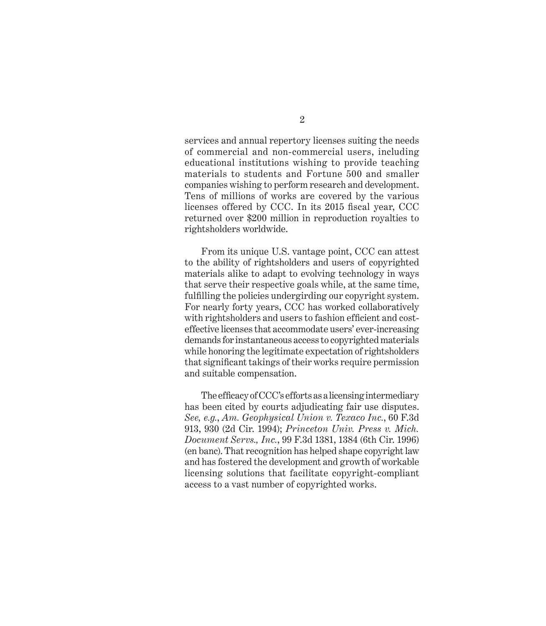services and annual repertory licenses suiting the needs of commercial and non-commercial users, including educational institutions wishing to provide teaching materials to students and Fortune 500 and smaller companies wishing to perform research and development. Tens of millions of works are covered by the various licenses offered by CCC. In its 2015 fiscal year, CCC returned over \$200 million in reproduction royalties to rightsholders worldwide.

From its unique U.S. vantage point, CCC can attest to the ability of rightsholders and users of copyrighted materials alike to adapt to evolving technology in ways that serve their respective goals while, at the same time, fulfilling the policies undergirding our copyright system. For nearly forty years, CCC has worked collaboratively with rightsholders and users to fashion efficient and costeffective licenses that accommodate users' ever-increasing demands for instantaneous access to copyrighted materials while honoring the legitimate expectation of rightsholders that significant takings of their works require permission and suitable compensation.

The efficacy of CCC's efforts as a licensing intermediary has been cited by courts adjudicating fair use disputes. *See, e.g.*, *Am. Geophysical Union v. Texaco Inc.*, 60 F.3d 913, 930 (2d Cir. 1994); *Princeton Univ. Press v. Mich. Document Servs., Inc.*, 99 F.3d 1381, 1384 (6th Cir. 1996) (en banc). That recognition has helped shape copyright law and has fostered the development and growth of workable licensing solutions that facilitate copyright-compliant access to a vast number of copyrighted works.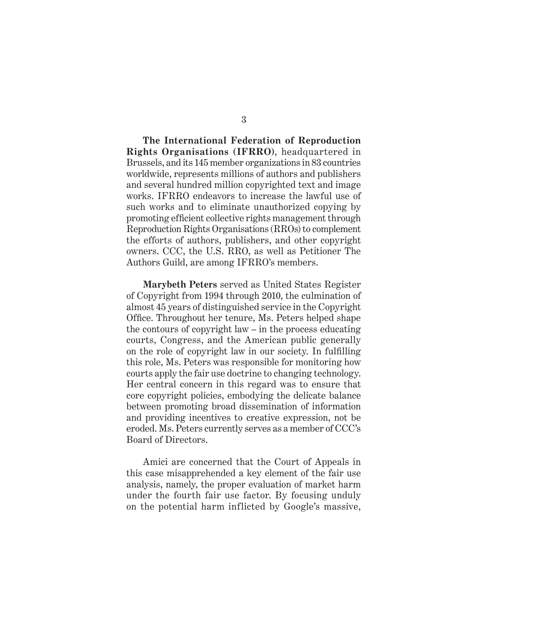**The International Federation of Reproduction Rights Organisations (IFRRO)**, headquartered in Brussels, and its 145 member organizations in 83 countries worldwide, represents millions of authors and publishers and several hundred million copyrighted text and image works. IFRRO endeavors to increase the lawful use of such works and to eliminate unauthorized copying by promoting efficient collective rights management through Reproduction Rights Organisations (RROs) to complement the efforts of authors, publishers, and other copyright owners. CCC, the U.S. RRO, as well as Petitioner The Authors Guild, are among IFRRO's members.

**Marybeth Peters** served as United States Register of Copyright from 1994 through 2010, the culmination of almost 45 years of distinguished service in the Copyright Office. Throughout her tenure, Ms. Peters helped shape the contours of copyright law – in the process educating courts, Congress, and the American public generally on the role of copyright law in our society. In fulfilling this role, Ms. Peters was responsible for monitoring how courts apply the fair use doctrine to changing technology. Her central concern in this regard was to ensure that core copyright policies, embodying the delicate balance between promoting broad dissemination of information and providing incentives to creative expression, not be eroded. Ms. Peters currently serves as a member of CCC's Board of Directors.

Amici are concerned that the Court of Appeals in this case misapprehended a key element of the fair use analysis, namely, the proper evaluation of market harm under the fourth fair use factor. By focusing unduly on the potential harm inflicted by Google's massive,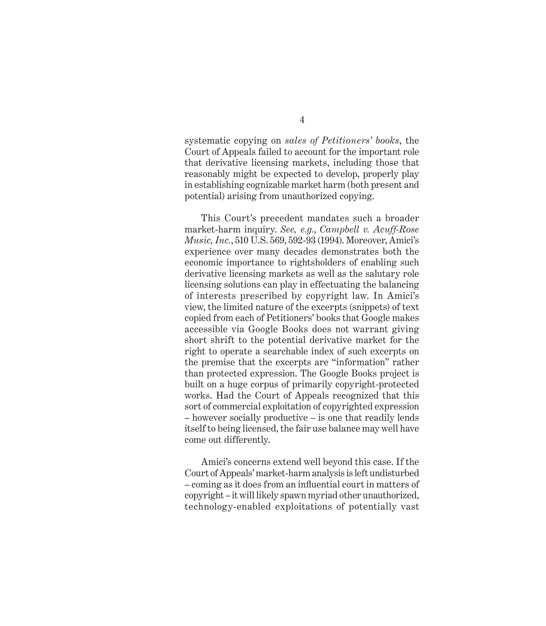systematic copying on *sales of Petitioners' books*, the Court of Appeals failed to account for the important role that derivative licensing markets, including those that reasonably might be expected to develop, properly play in establishing cognizable market harm (both present and potential) arising from unauthorized copying.

This Court's precedent mandates such a broader market-harm inquiry. *See, e.g.*, *Campbell v. Acuff-Rose Music, Inc.*, 510 U.S. 569, 592-93 (1994). Moreover, Amici's experience over many decades demonstrates both the economic importance to rightsholders of enabling such derivative licensing markets as well as the salutary role licensing solutions can play in effectuating the balancing of interests prescribed by copyright law. In Amici's view, the limited nature of the excerpts (snippets) of text copied from each of Petitioners' books that Google makes accessible via Google Books does not warrant giving short shrift to the potential derivative market for the right to operate a searchable index of such excerpts on the premise that the excerpts are "information" rather than protected expression. The Google Books project is built on a huge corpus of primarily copyright-protected works. Had the Court of Appeals recognized that this sort of commercial exploitation of copyrighted expression – however socially productive – is one that readily lends itself to being licensed, the fair use balance may well have come out differently.

Amici's concerns extend well beyond this case. If the Court of Appeals' market-harm analysis is left undisturbed – coming as it does from an influential court in matters of copyright – it will likely spawn myriad other unauthorized, technology-enabled exploitations of potentially vast

4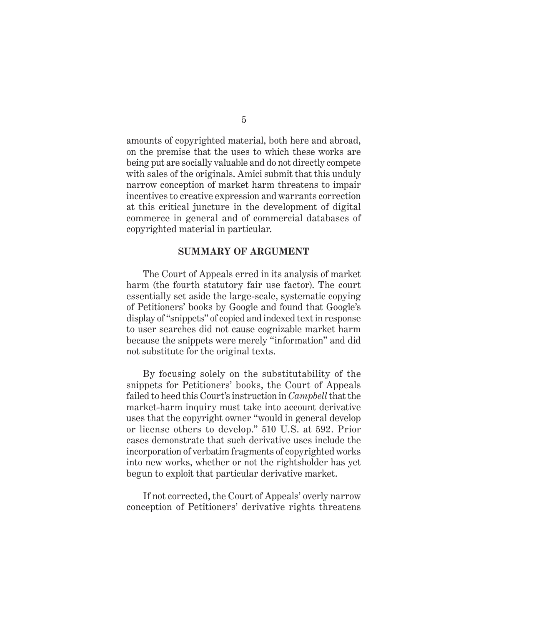amounts of copyrighted material, both here and abroad, on the premise that the uses to which these works are being put are socially valuable and do not directly compete with sales of the originals. Amici submit that this unduly narrow conception of market harm threatens to impair incentives to creative expression and warrants correction at this critical juncture in the development of digital commerce in general and of commercial databases of copyrighted material in particular.

#### **SUMMARY OF ARGUMENT**

The Court of Appeals erred in its analysis of market harm (the fourth statutory fair use factor). The court essentially set aside the large-scale, systematic copying of Petitioners' books by Google and found that Google's display of "snippets" of copied and indexed text in response to user searches did not cause cognizable market harm because the snippets were merely "information" and did not substitute for the original texts.

By focusing solely on the substitutability of the snippets for Petitioners' books, the Court of Appeals failed to heed this Court's instruction in *Campbell* that the market-harm inquiry must take into account derivative uses that the copyright owner "would in general develop or license others to develop." 510 U.S. at 592. Prior cases demonstrate that such derivative uses include the incorporation of verbatim fragments of copyrighted works into new works, whether or not the rightsholder has yet begun to exploit that particular derivative market.

If not corrected, the Court of Appeals' overly narrow conception of Petitioners' derivative rights threatens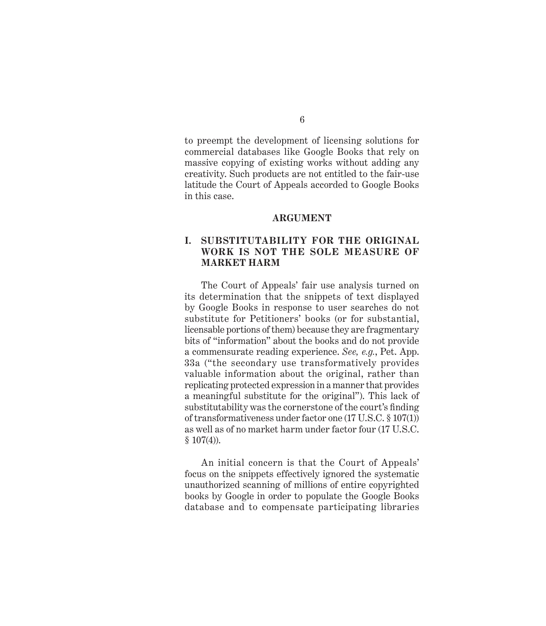to preempt the development of licensing solutions for commercial databases like Google Books that rely on massive copying of existing works without adding any creativity. Such products are not entitled to the fair-use latitude the Court of Appeals accorded to Google Books in this case.

#### **ARGUMENT**

### **I. SUBSTITUTABILITY FOR THE ORIGINAL WORK IS NOT THE SOLE MEASURE OF MARKET HARM**

The Court of Appeals' fair use analysis turned on its determination that the snippets of text displayed by Google Books in response to user searches do not substitute for Petitioners' books (or for substantial, licensable portions of them) because they are fragmentary bits of "information" about the books and do not provide a commensurate reading experience. *See, e.g.*, Pet. App. 33a ("the secondary use transformatively provides valuable information about the original, rather than replicating protected expression in a manner that provides a meaningful substitute for the original"). This lack of substitutability was the cornerstone of the court's finding of transformativeness under factor one (17 U.S.C. § 107(1)) as well as of no market harm under factor four (17 U.S.C.  $$107(4)$ ).

An initial concern is that the Court of Appeals' focus on the snippets effectively ignored the systematic unauthorized scanning of millions of entire copyrighted books by Google in order to populate the Google Books database and to compensate participating libraries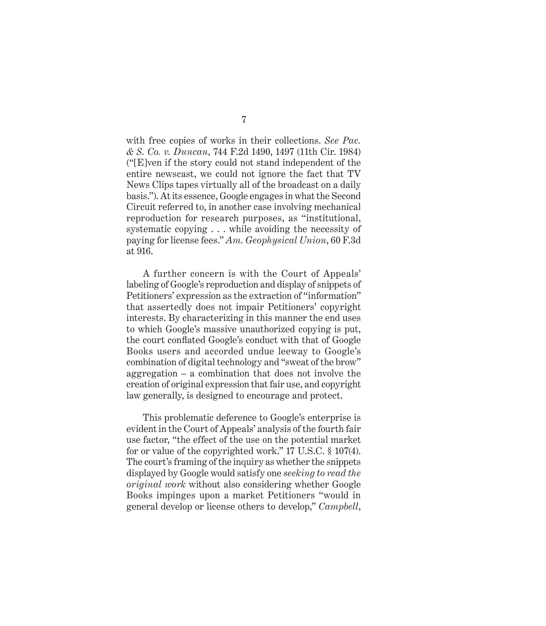with free copies of works in their collections. *See Pac. & S. Co. v. Duncan*, 744 F.2d 1490, 1497 (11th Cir. 1984) ("[E]ven if the story could not stand independent of the entire newscast, we could not ignore the fact that TV News Clips tapes virtually all of the broadcast on a daily basis."). At its essence, Google engages in what the Second Circuit referred to, in another case involving mechanical reproduction for research purposes, as "institutional, systematic copying . . . while avoiding the necessity of paying for license fees." *Am. Geophysical Union*, 60 F.3d at 916.

A further concern is with the Court of Appeals' labeling of Google's reproduction and display of snippets of Petitioners' expression as the extraction of "information" that assertedly does not impair Petitioners' copyright interests. By characterizing in this manner the end uses to which Google's massive unauthorized copying is put, the court conflated Google's conduct with that of Google Books users and accorded undue leeway to Google's combination of digital technology and "sweat of the brow" aggregation – a combination that does not involve the creation of original expression that fair use, and copyright law generally, is designed to encourage and protect.

This problematic deference to Google's enterprise is evident in the Court of Appeals' analysis of the fourth fair use factor, "the effect of the use on the potential market for or value of the copyrighted work." 17 U.S.C. § 107(4). The court's framing of the inquiry as whether the snippets displayed by Google would satisfy one *seeking to read the original work* without also considering whether Google Books impinges upon a market Petitioners "would in general develop or license others to develop," *Campbell*,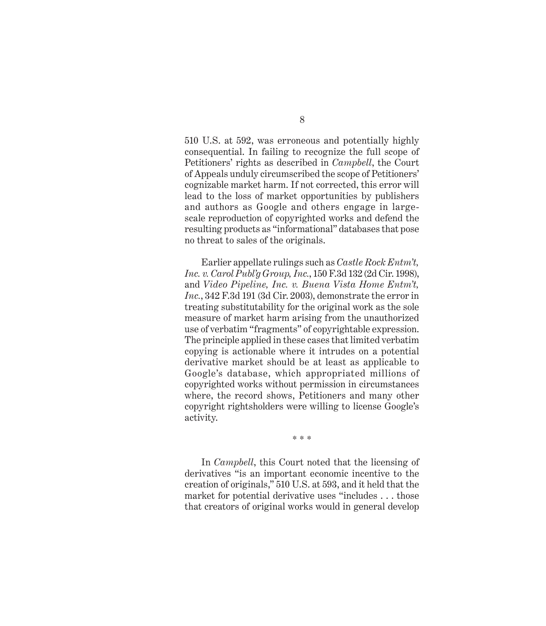510 U.S. at 592, was erroneous and potentially highly consequential. In failing to recognize the full scope of Petitioners' rights as described in *Campbell*, the Court of Appeals unduly circumscribed the scope of Petitioners' cognizable market harm. If not corrected, this error will lead to the loss of market opportunities by publishers and authors as Google and others engage in largescale reproduction of copyrighted works and defend the resulting products as "informational" databases that pose no threat to sales of the originals.

Earlier appellate rulings such as *Castle Rock Entm't, Inc. v. Carol Publ'g Group, Inc.*, 150 F.3d 132 (2d Cir. 1998), and *Video Pipeline, Inc. v. Buena Vista Home Entm't, Inc.*, 342 F.3d 191 (3d Cir. 2003), demonstrate the error in treating substitutability for the original work as the sole measure of market harm arising from the unauthorized use of verbatim "fragments" of copyrightable expression. The principle applied in these cases that limited verbatim copying is actionable where it intrudes on a potential derivative market should be at least as applicable to Google's database, which appropriated millions of copyrighted works without permission in circumstances where, the record shows, Petitioners and many other copyright rightsholders were willing to license Google's activity.

\* \* \*

In *Campbell*, this Court noted that the licensing of derivatives "is an important economic incentive to the creation of originals," 510 U.S. at 593, and it held that the market for potential derivative uses "includes . . . those that creators of original works would in general develop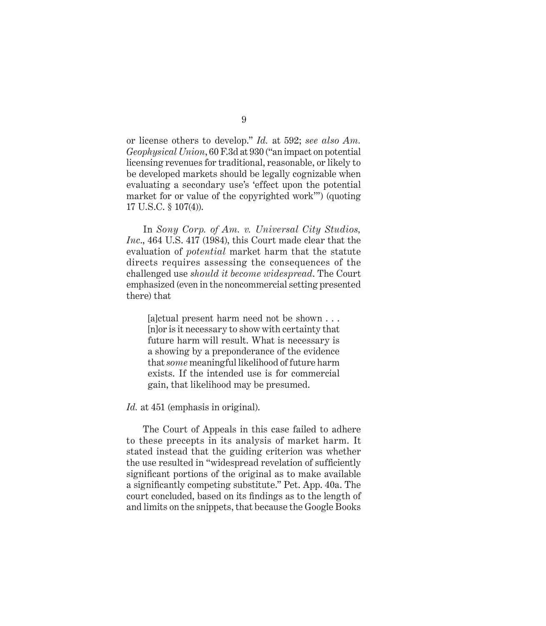or license others to develop." *Id.* at 592; *see also Am. Geophysical Union*, 60 F.3d at 930 ("an impact on potential licensing revenues for traditional, reasonable, or likely to be developed markets should be legally cognizable when evaluating a secondary use's 'effect upon the potential market for or value of the copyrighted work'") (quoting 17 U.S.C. § 107(4)).

In *Sony Corp. of Am. v. Universal City Studios, Inc*., 464 U.S. 417 (1984), this Court made clear that the evaluation of *potential* market harm that the statute directs requires assessing the consequences of the challenged use *should it become widespread*. The Court emphasized (even in the noncommercial setting presented there) that

[a]ctual present harm need not be shown . . . [n]or is it necessary to show with certainty that future harm will result. What is necessary is a showing by a preponderance of the evidence that *some* meaningful likelihood of future harm exists. If the intended use is for commercial gain, that likelihood may be presumed.

*Id.* at 451 (emphasis in original).

The Court of Appeals in this case failed to adhere to these precepts in its analysis of market harm. It stated instead that the guiding criterion was whether the use resulted in "widespread revelation of sufficiently significant portions of the original as to make available a significantly competing substitute." Pet. App. 40a. The court concluded, based on its findings as to the length of and limits on the snippets, that because the Google Books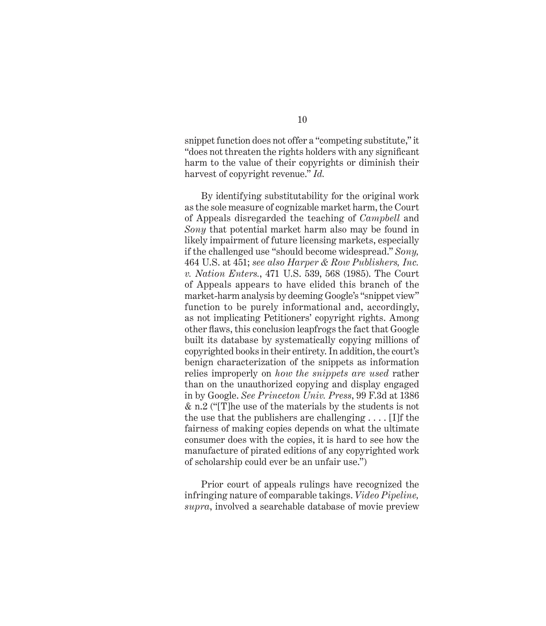snippet function does not offer a "competing substitute," it "does not threaten the rights holders with any significant harm to the value of their copyrights or diminish their harvest of copyright revenue." *Id.* 

By identifying substitutability for the original work as the sole measure of cognizable market harm, the Court of Appeals disregarded the teaching of *Campbell* and *Sony* that potential market harm also may be found in likely impairment of future licensing markets, especially if the challenged use "should become widespread." *Sony,*  464 U.S. at 451; *see also Harper & Row Publishers, Inc. v. Nation Enters.*, 471 U.S. 539, 568 (1985). The Court of Appeals appears to have elided this branch of the market-harm analysis by deeming Google's "snippet view" function to be purely informational and, accordingly, as not implicating Petitioners' copyright rights. Among other flaws, this conclusion leapfrogs the fact that Google built its database by systematically copying millions of copyrighted books in their entirety. In addition, the court's benign characterization of the snippets as information relies improperly on *how the snippets are used* rather than on the unauthorized copying and display engaged in by Google. *See Princeton Univ. Press*, 99 F.3d at 1386 & n.2 ("[T]he use of the materials by the students is not the use that the publishers are challenging  $\dots$  [I]f the fairness of making copies depends on what the ultimate consumer does with the copies, it is hard to see how the manufacture of pirated editions of any copyrighted work of scholarship could ever be an unfair use.")

Prior court of appeals rulings have recognized the infringing nature of comparable takings. *Video Pipeline, supra*, involved a searchable database of movie preview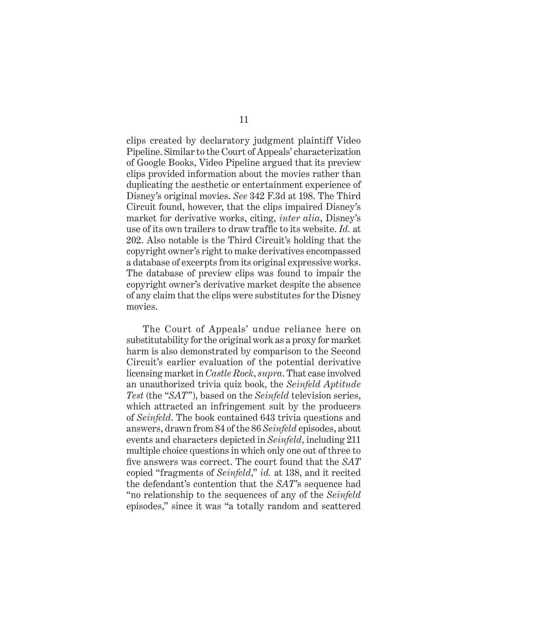clips created by declaratory judgment plaintiff Video Pipeline. Similar to the Court of Appeals' characterization of Google Books, Video Pipeline argued that its preview clips provided information about the movies rather than duplicating the aesthetic or entertainment experience of Disney's original movies. *See* 342 F.3d at 198. The Third Circuit found, however, that the clips impaired Disney's market for derivative works, citing, *inter alia*, Disney's use of its own trailers to draw traffic to its website. *Id.* at 202. Also notable is the Third Circuit's holding that the copyright owner's right to make derivatives encompassed a database of excerpts from its original expressive works. The database of preview clips was found to impair the copyright owner's derivative market despite the absence of any claim that the clips were substitutes for the Disney movies.

The Court of Appeals' undue reliance here on substitutability for the original work as a proxy for market harm is also demonstrated by comparison to the Second Circuit's earlier evaluation of the potential derivative licensing market in *Castle Rock*, *supra*. That case involved an unauthorized trivia quiz book, the *Seinfeld Aptitude Test* (the "*SAT*"), based on the *Seinfeld* television series, which attracted an infringement suit by the producers of *Seinfeld*. The book contained 643 trivia questions and answers, drawn from 84 of the 86 *Seinfeld* episodes, about events and characters depicted in *Seinfeld*, including 211 multiple choice questions in which only one out of three to five answers was correct. The court found that the *SAT* copied "fragments of *Seinfeld*," *id.* at 138, and it recited the defendant's contention that the *SAT*'s sequence had "no relationship to the sequences of any of the *Seinfeld*  episodes," since it was "a totally random and scattered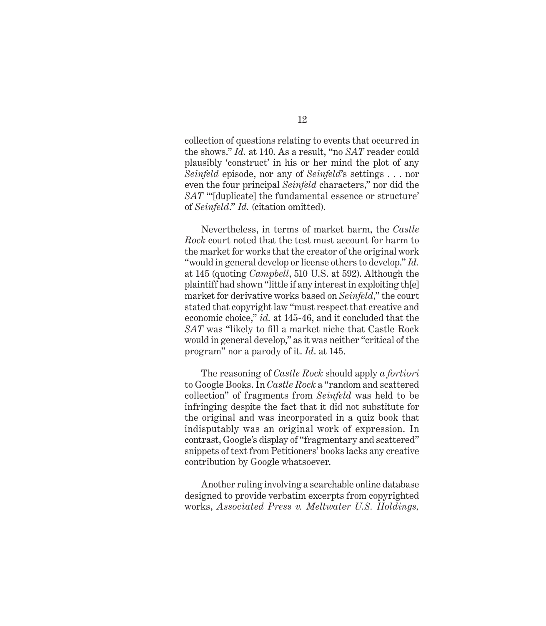collection of questions relating to events that occurred in the shows." *Id.* at 140. As a result, "no *SAT* reader could plausibly 'construct' in his or her mind the plot of any *Seinfeld* episode, nor any of *Seinfeld*'s settings . . . nor even the four principal *Seinfeld* characters," nor did the *SAT* "'[duplicate] the fundamental essence or structure' of *Seinfeld*." *Id.* (citation omitted).

Nevertheless, in terms of market harm, the *Castle Rock* court noted that the test must account for harm to the market for works that the creator of the original work "would in general develop or license others to develop." *Id.*  at 145 (quoting *Campbell*, 510 U.S. at 592). Although the plaintiff had shown "little if any interest in exploiting th[e] market for derivative works based on *Seinfeld*," the court stated that copyright law "must respect that creative and economic choice," *id.* at 145-46, and it concluded that the *SAT* was "likely to fill a market niche that Castle Rock would in general develop," as it was neither "critical of the program" nor a parody of it. *Id*. at 145.

The reasoning of *Castle Rock* should apply *a fortiori*  to Google Books. In *Castle Rock* a "random and scattered collection" of fragments from *Seinfeld* was held to be infringing despite the fact that it did not substitute for the original and was incorporated in a quiz book that indisputably was an original work of expression. In contrast, Google's display of "fragmentary and scattered" snippets of text from Petitioners' books lacks any creative contribution by Google whatsoever.

Another ruling involving a searchable online database designed to provide verbatim excerpts from copyrighted works, *Associated Press v. Meltwater U.S. Holdings,*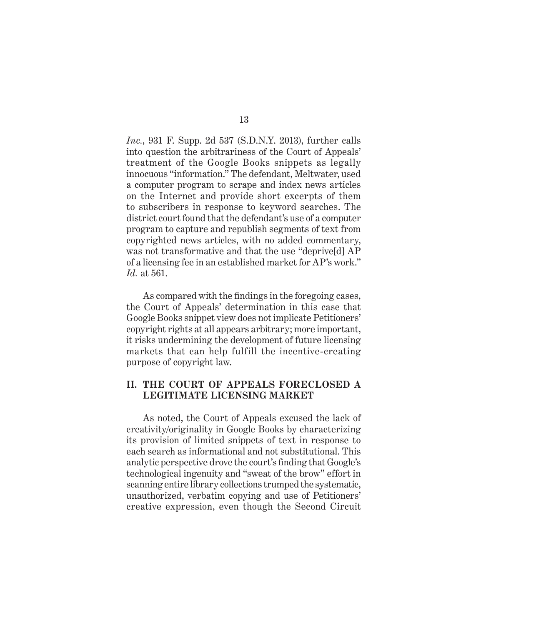*Inc.*, 931 F. Supp. 2d 537 (S.D.N.Y. 2013), further calls into question the arbitrariness of the Court of Appeals' treatment of the Google Books snippets as legally innocuous "information." The defendant, Meltwater, used a computer program to scrape and index news articles on the Internet and provide short excerpts of them to subscribers in response to keyword searches. The district court found that the defendant's use of a computer program to capture and republish segments of text from copyrighted news articles, with no added commentary, was not transformative and that the use "deprive[d] AP of a licensing fee in an established market for AP's work." *Id.* at 561.

As compared with the findings in the foregoing cases, the Court of Appeals' determination in this case that Google Books snippet view does not implicate Petitioners' copyright rights at all appears arbitrary; more important, it risks undermining the development of future licensing markets that can help fulfill the incentive-creating purpose of copyright law.

### **II. THE COURT OF APPEALS FORECLOSED A LEGITIMATE LICENSING MARKET**

As noted, the Court of Appeals excused the lack of creativity/originality in Google Books by characterizing its provision of limited snippets of text in response to each search as informational and not substitutional. This analytic perspective drove the court's finding that Google's technological ingenuity and "sweat of the brow" effort in scanning entire library collections trumped the systematic, unauthorized, verbatim copying and use of Petitioners' creative expression, even though the Second Circuit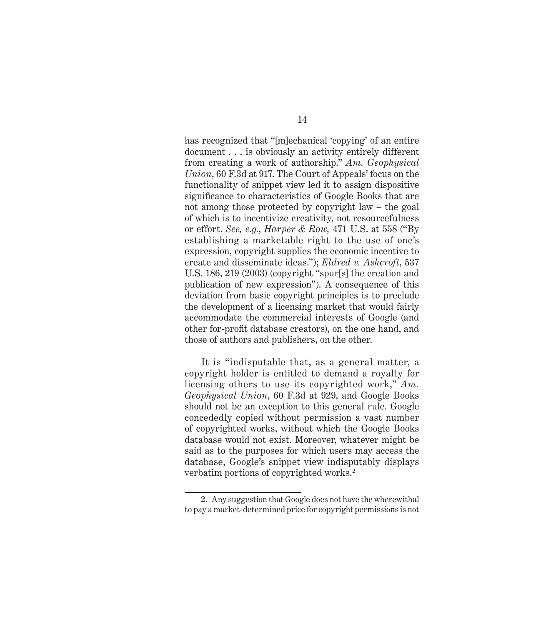has recognized that "[m]echanical 'copying' of an entire document . . . is obviously an activity entirely different from creating a work of authorship." *Am. Geophysical Union*, 60 F.3d at 917. The Court of Appeals' focus on the functionality of snippet view led it to assign dispositive significance to characteristics of Google Books that are not among those protected by copyright law – the goal of which is to incentivize creativity, not resourcefulness or effort. *See, e.g.*, *Harper & Row,* 471 U.S. at 558 ("By establishing a marketable right to the use of one's expression, copyright supplies the economic incentive to create and disseminate ideas."); *Eldred v. Ashcroft*, 537 U.S. 186, 219 (2003) (copyright "spur[s] the creation and publication of new expression"). A consequence of this deviation from basic copyright principles is to preclude the development of a licensing market that would fairly accommodate the commercial interests of Google (and other for-profit database creators), on the one hand, and those of authors and publishers, on the other.

It is "indisputable that, as a general matter, a copyright holder is entitled to demand a royalty for licensing others to use its copyrighted work," *Am. Geophysical Union*, 60 F.3d at 929, and Google Books should not be an exception to this general rule. Google concededly copied without permission a vast number of copyrighted works, without which the Google Books database would not exist. Moreover, whatever might be said as to the purposes for which users may access the database, Google's snippet view indisputably displays verbatim portions of copyrighted works.<sup>2</sup>

<sup>2.</sup> Any suggestion that Google does not have the wherewithal to pay a market-determined price for copyright permissions is not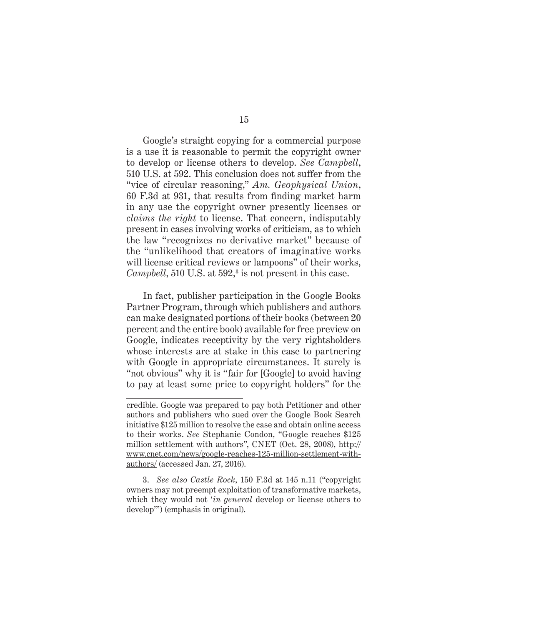Google's straight copying for a commercial purpose is a use it is reasonable to permit the copyright owner to develop or license others to develop. *See Campbell*, 510 U.S. at 592. This conclusion does not suffer from the "vice of circular reasoning," *Am. Geophysical Union*, 60 F.3d at 931, that results from finding market harm in any use the copyright owner presently licenses or *claims the right* to license. That concern, indisputably present in cases involving works of criticism, as to which the law "recognizes no derivative market" because of the "unlikelihood that creators of imaginative works will license critical reviews or lampoons" of their works,  $Campbell$ , 510 U.S. at 592,<sup>3</sup> is not present in this case.

In fact, publisher participation in the Google Books Partner Program, through which publishers and authors can make designated portions of their books (between 20 percent and the entire book) available for free preview on Google, indicates receptivity by the very rightsholders whose interests are at stake in this case to partnering with Google in appropriate circumstances. It surely is "not obvious" why it is "fair for [Google] to avoid having to pay at least some price to copyright holders" for the

3. *See also Castle Rock*, 150 F.3d at 145 n.11 ("copyright owners may not preempt exploitation of transformative markets, which they would not '*in general* develop or license others to develop'") (emphasis in original).

credible. Google was prepared to pay both Petitioner and other authors and publishers who sued over the Google Book Search initiative \$125 million to resolve the case and obtain online access to their works. *See* Stephanie Condon, "Google reaches \$125 million settlement with authors", CNET (Oct. 28, 2008), http:// www.cnet.com/news/google-reaches-125-million-settlement-withauthors/ (accessed Jan. 27, 2016).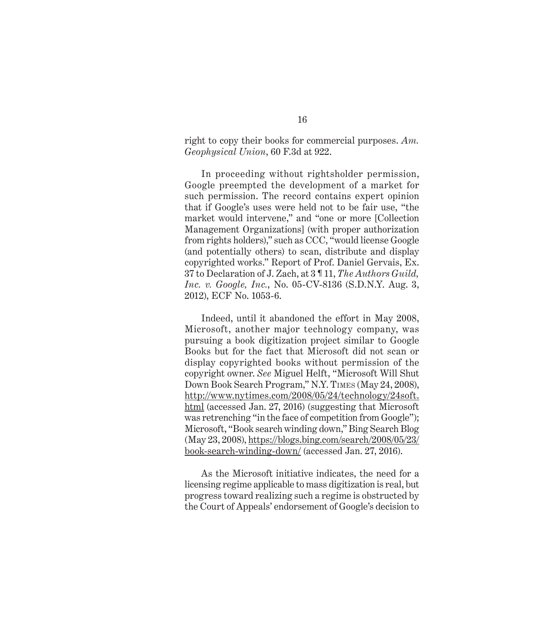right to copy their books for commercial purposes. *Am. Geophysical Union*, 60 F.3d at 922.

In proceeding without rightsholder permission, Google preempted the development of a market for such permission. The record contains expert opinion that if Google's uses were held not to be fair use, "the market would intervene," and "one or more [Collection Management Organizations] (with proper authorization from rights holders)," such as CCC, "would license Google (and potentially others) to scan, distribute and display copyrighted works." Report of Prof. Daniel Gervais, Ex. 37 to Declaration of J. Zach, at 3 ¶ 11, *The Authors Guild, Inc. v. Google, Inc.*, No. 05-CV-8136 (S.D.N.Y. Aug. 3, 2012), ECF No. 1053-6.

Indeed, until it abandoned the effort in May 2008, Microsoft, another major technology company, was pursuing a book digitization project similar to Google Books but for the fact that Microsoft did not scan or display copyrighted books without permission of the copyright owner. *See* Miguel Helft, "Microsoft Will Shut Down Book Search Program," N.Y. Times (May 24, 2008), http://www.nytimes.com/2008/05/24/technology/24soft. html (accessed Jan. 27, 2016) (suggesting that Microsoft was retrenching "in the face of competition from Google"); Microsoft, "Book search winding down," Bing Search Blog (May 23, 2008), https://blogs.bing.com/search/2008/05/23/ book-search-winding-down/ (accessed Jan. 27, 2016).

As the Microsoft initiative indicates, the need for a licensing regime applicable to mass digitization is real, but progress toward realizing such a regime is obstructed by the Court of Appeals' endorsement of Google's decision to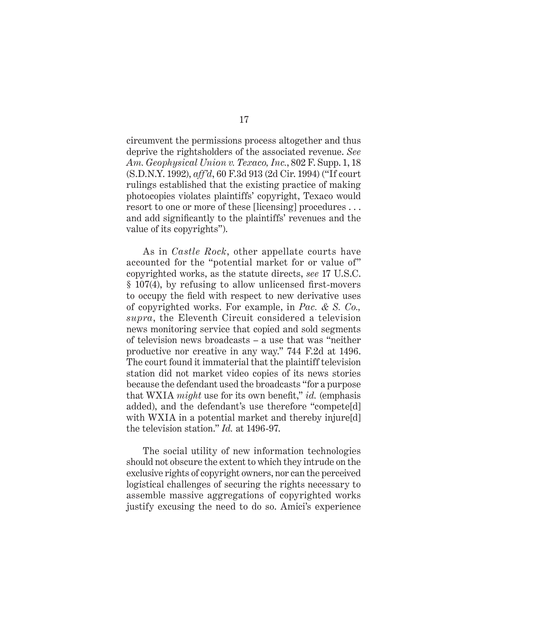circumvent the permissions process altogether and thus deprive the rightsholders of the associated revenue. *See Am. Geophysical Union v. Texaco, Inc.*, 802 F. Supp. 1, 18 (S.D.N.Y. 1992), *aff'd*, 60 F.3d 913 (2d Cir. 1994) ("If court rulings established that the existing practice of making photocopies violates plaintiffs' copyright, Texaco would resort to one or more of these [licensing] procedures . . . and add significantly to the plaintiffs' revenues and the value of its copyrights").

As in *Castle Rock*, other appellate courts have accounted for the "potential market for or value of" copyrighted works, as the statute directs, *see* 17 U.S.C. § 107(4), by refusing to allow unlicensed first-movers to occupy the field with respect to new derivative uses of copyrighted works. For example, in *Pac. & S. Co., supra*, the Eleventh Circuit considered a television news monitoring service that copied and sold segments of television news broadcasts – a use that was "neither productive nor creative in any way." 744 F.2d at 1496. The court found it immaterial that the plaintiff television station did not market video copies of its news stories because the defendant used the broadcasts "for a purpose that WXIA *might* use for its own benefit," *id.* (emphasis added), and the defendant's use therefore "compete[d] with WXIA in a potential market and thereby injure[d] the television station." *Id.* at 1496-97.

The social utility of new information technologies should not obscure the extent to which they intrude on the exclusive rights of copyright owners, nor can the perceived logistical challenges of securing the rights necessary to assemble massive aggregations of copyrighted works justify excusing the need to do so. Amici's experience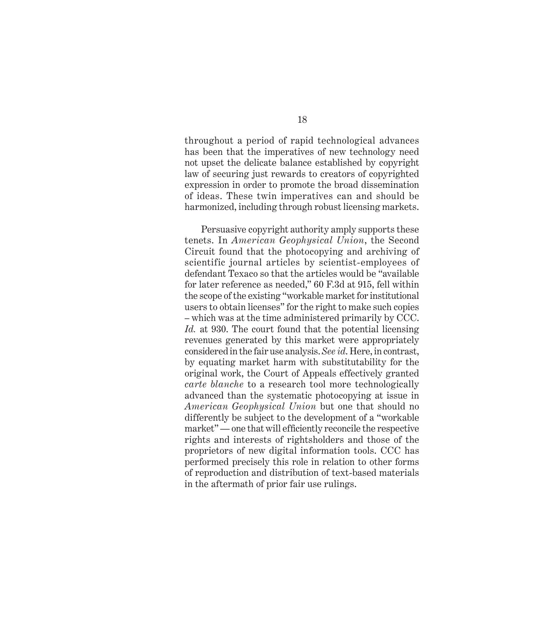throughout a period of rapid technological advances has been that the imperatives of new technology need not upset the delicate balance established by copyright law of securing just rewards to creators of copyrighted expression in order to promote the broad dissemination of ideas. These twin imperatives can and should be harmonized, including through robust licensing markets.

Persuasive copyright authority amply supports these tenets. In *American Geophysical Union*, the Second Circuit found that the photocopying and archiving of scientific journal articles by scientist-employees of defendant Texaco so that the articles would be "available for later reference as needed," 60 F.3d at 915, fell within the scope of the existing "workable market for institutional users to obtain licenses" for the right to make such copies – which was at the time administered primarily by CCC. *Id.* at 930. The court found that the potential licensing revenues generated by this market were appropriately considered in the fair use analysis. *See id*. Here, in contrast, by equating market harm with substitutability for the original work, the Court of Appeals effectively granted *carte blanche* to a research tool more technologically advanced than the systematic photocopying at issue in *American Geophysical Union* but one that should no differently be subject to the development of a "workable market" — one that will efficiently reconcile the respective rights and interests of rightsholders and those of the proprietors of new digital information tools. CCC has performed precisely this role in relation to other forms of reproduction and distribution of text-based materials in the aftermath of prior fair use rulings.